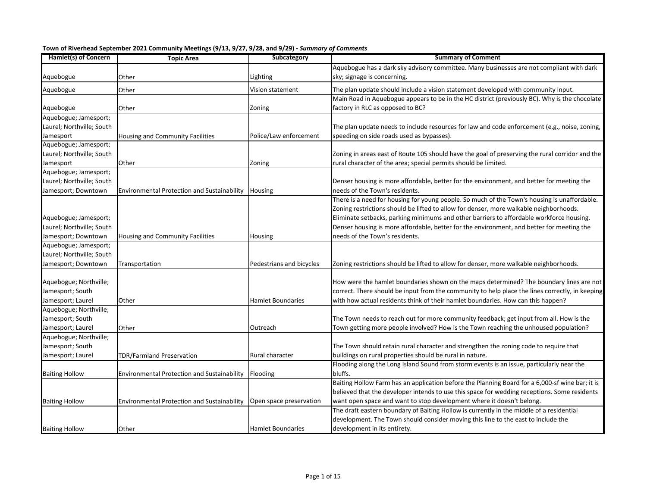| Town of Riverhead September 2021 Community Meetings (9/13, 9/27, 9/28, and 9/29) - Summary of Comments |
|--------------------------------------------------------------------------------------------------------|
|--------------------------------------------------------------------------------------------------------|

| Hamlet(s) of Concern      | <b>Topic Area</b>                           | Subcategory              | <b>Summary of Comment</b>                                                                       |
|---------------------------|---------------------------------------------|--------------------------|-------------------------------------------------------------------------------------------------|
|                           |                                             |                          | Aquebogue has a dark sky advisory committee. Many businesses are not compliant with dark        |
| Aquebogue                 | Other                                       | Lighting                 | sky; signage is concerning.                                                                     |
| Aquebogue                 | Other                                       | Vision statement         | The plan update should include a vision statement developed with community input.               |
|                           |                                             |                          | Main Road in Aquebogue appears to be in the HC district (previously BC). Why is the chocolate   |
| Aquebogue                 | Other                                       | Zoning                   | factory in RLC as opposed to BC?                                                                |
| Aquebogue; Jamesport;     |                                             |                          |                                                                                                 |
| Laurel; Northville; South |                                             |                          | The plan update needs to include resources for law and code enforcement (e.g., noise, zoning,   |
| Jamesport                 | Housing and Community Facilities            | Police/Law enforcement   | speeding on side roads used as bypasses).                                                       |
| Aquebogue; Jamesport;     |                                             |                          |                                                                                                 |
| Laurel; Northville; South |                                             |                          | Zoning in areas east of Route 105 should have the goal of preserving the rural corridor and the |
| Jamesport                 | Other                                       | Zoning                   | rural character of the area; special permits should be limited.                                 |
| Aquebogue; Jamesport;     |                                             |                          |                                                                                                 |
| Laurel; Northville; South |                                             |                          | Denser housing is more affordable, better for the environment, and better for meeting the       |
| Jamesport; Downtown       | Environmental Protection and Sustainability | Housing                  | needs of the Town's residents.                                                                  |
|                           |                                             |                          | There is a need for housing for young people. So much of the Town's housing is unaffordable.    |
|                           |                                             |                          | Zoning restrictions should be lifted to allow for denser, more walkable neighborhoods.          |
| Aquebogue; Jamesport;     |                                             |                          | Eliminate setbacks, parking minimums and other barriers to affordable workforce housing.        |
| Laurel; Northville; South |                                             |                          | Denser housing is more affordable, better for the environment, and better for meeting the       |
| Jamesport; Downtown       | Housing and Community Facilities            | Housing                  | needs of the Town's residents.                                                                  |
| Aquebogue; Jamesport;     |                                             |                          |                                                                                                 |
| Laurel; Northville; South |                                             |                          |                                                                                                 |
| Jamesport; Downtown       | Transportation                              | Pedestrians and bicycles | Zoning restrictions should be lifted to allow for denser, more walkable neighborhoods.          |
|                           |                                             |                          |                                                                                                 |
| Aquebogue; Northville;    |                                             |                          | How were the hamlet boundaries shown on the maps determined? The boundary lines are not         |
| Jamesport; South          |                                             |                          | correct. There should be input from the community to help place the lines correctly, in keeping |
| Jamesport; Laurel         | Other                                       | <b>Hamlet Boundaries</b> | with how actual residents think of their hamlet boundaries. How can this happen?                |
| Aquebogue; Northville;    |                                             |                          |                                                                                                 |
| Jamesport; South          |                                             |                          | The Town needs to reach out for more community feedback; get input from all. How is the         |
| Jamesport; Laurel         | Other                                       | Outreach                 | Town getting more people involved? How is the Town reaching the unhoused population?            |
| Aquebogue; Northville;    |                                             |                          |                                                                                                 |
| Jamesport; South          |                                             |                          | The Town should retain rural character and strengthen the zoning code to require that           |
| Jamesport; Laurel         | TDR/Farmland Preservation                   | Rural character          | buildings on rural properties should be rural in nature.                                        |
|                           |                                             |                          | Flooding along the Long Island Sound from storm events is an issue, particularly near the       |
| <b>Baiting Hollow</b>     | Environmental Protection and Sustainability | Flooding                 | bluffs.                                                                                         |
|                           |                                             |                          | Baiting Hollow Farm has an application before the Planning Board for a 6,000-sf wine bar; it is |
|                           |                                             |                          | believed that the developer intends to use this space for wedding receptions. Some residents    |
| <b>Baiting Hollow</b>     | Environmental Protection and Sustainability | Open space preservation  | want open space and want to stop development where it doesn't belong.                           |
|                           |                                             |                          | The draft eastern boundary of Baiting Hollow is currently in the middle of a residential        |
|                           |                                             |                          | development. The Town should consider moving this line to the east to include the               |
| <b>Baiting Hollow</b>     | Other                                       | <b>Hamlet Boundaries</b> | development in its entirety.                                                                    |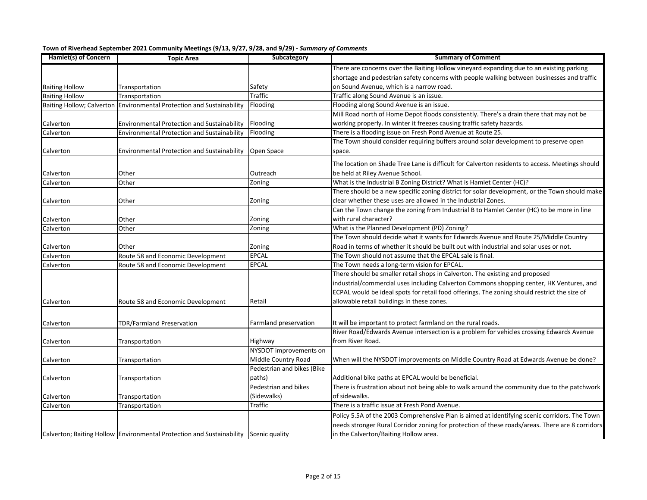| Hamlet(s) of Concern  | <b>Topic Area</b>                                                                    | Subcategory                | <b>Summary of Comment</b>                                                                       |
|-----------------------|--------------------------------------------------------------------------------------|----------------------------|-------------------------------------------------------------------------------------------------|
|                       |                                                                                      |                            | There are concerns over the Baiting Hollow vineyard expanding due to an existing parking        |
|                       |                                                                                      |                            | shortage and pedestrian safety concerns with people walking between businesses and traffic      |
| <b>Baiting Hollow</b> | Transportation                                                                       | Safety                     | on Sound Avenue, which is a narrow road.                                                        |
| <b>Baiting Hollow</b> | Transportation                                                                       | <b>Traffic</b>             | Traffic along Sound Avenue is an issue.                                                         |
|                       | Baiting Hollow; Calverton Environmental Protection and Sustainability                | Flooding                   | Flooding along Sound Avenue is an issue.                                                        |
|                       |                                                                                      |                            | Mill Road north of Home Depot floods consistently. There's a drain there that may not be        |
| Calverton             | Environmental Protection and Sustainability                                          | Flooding                   | working properly. In winter it freezes causing traffic safety hazards.                          |
| Calverton             | <b>Environmental Protection and Sustainability</b>                                   | Flooding                   | There is a flooding issue on Fresh Pond Avenue at Route 25.                                     |
|                       |                                                                                      |                            | The Town should consider requiring buffers around solar development to preserve open            |
| Calverton             | Environmental Protection and Sustainability                                          | Open Space                 | space.                                                                                          |
|                       |                                                                                      |                            | The location on Shade Tree Lane is difficult for Calverton residents to access. Meetings should |
| Calverton             | Other                                                                                | Outreach                   | be held at Riley Avenue School.                                                                 |
| Calverton             | Other                                                                                | Zoning                     | What is the Industrial B Zoning District? What is Hamlet Center (HC)?                           |
|                       |                                                                                      |                            | There should be a new specific zoning district for solar development, or the Town should make   |
| Calverton             | Other                                                                                | Zoning                     | clear whether these uses are allowed in the Industrial Zones.                                   |
|                       |                                                                                      |                            | Can the Town change the zoning from Industrial B to Hamlet Center (HC) to be more in line       |
| Calverton             | Other                                                                                | Zoning                     | with rural character?                                                                           |
| Calverton             | Other                                                                                | Zoning                     | What is the Planned Development (PD) Zoning?                                                    |
|                       |                                                                                      |                            | The Town should decide what it wants for Edwards Avenue and Route 25/Middle Country             |
| Calverton             | Other                                                                                | Zoning                     | Road in terms of whether it should be built out with industrial and solar uses or not.          |
| Calverton             | Route 58 and Economic Development                                                    | <b>EPCAL</b>               | The Town should not assume that the EPCAL sale is final.                                        |
| Calverton             | Route 58 and Economic Development                                                    | EPCAL                      | The Town needs a long-term vision for EPCAL.                                                    |
|                       |                                                                                      |                            | There should be smaller retail shops in Calverton. The existing and proposed                    |
|                       |                                                                                      |                            | industrial/commercial uses including Calverton Commons shopping center, HK Ventures, and        |
|                       |                                                                                      |                            | ECPAL would be ideal spots for retail food offerings. The zoning should restrict the size of    |
| Calverton             | Route 58 and Economic Development                                                    | Retail                     | allowable retail buildings in these zones.                                                      |
|                       |                                                                                      |                            |                                                                                                 |
| Calverton             | <b>TDR/Farmland Preservation</b>                                                     | Farmland preservation      | It will be important to protect farmland on the rural roads.                                    |
|                       |                                                                                      |                            | River Road/Edwards Avenue intersection is a problem for vehicles crossing Edwards Avenue        |
| Calverton             | Transportation                                                                       | Highway                    | from River Road.                                                                                |
|                       |                                                                                      | NYSDOT improvements on     |                                                                                                 |
| Calverton             | Transportation                                                                       | Middle Country Road        | When will the NYSDOT improvements on Middle Country Road at Edwards Avenue be done?             |
|                       |                                                                                      | Pedestrian and bikes (Bike |                                                                                                 |
| Calverton             | Transportation                                                                       | paths)                     | Additional bike paths at EPCAL would be beneficial.                                             |
|                       |                                                                                      | Pedestrian and bikes       | There is frustration about not being able to walk around the community due to the patchwork     |
| Calverton             | Transportation                                                                       | (Sidewalks)                | of sidewalks.                                                                                   |
| Calverton             | Transportation                                                                       | Traffic                    | There is a traffic issue at Fresh Pond Avenue.                                                  |
|                       |                                                                                      |                            | Policy 5.5A of the 2003 Comprehensive Plan is aimed at identifying scenic corridors. The Town   |
|                       |                                                                                      |                            | needs stronger Rural Corridor zoning for protection of these roads/areas. There are 8 corridors |
|                       | Calverton; Baiting Hollow Environmental Protection and Sustainability Scenic quality |                            | in the Calverton/Baiting Hollow area.                                                           |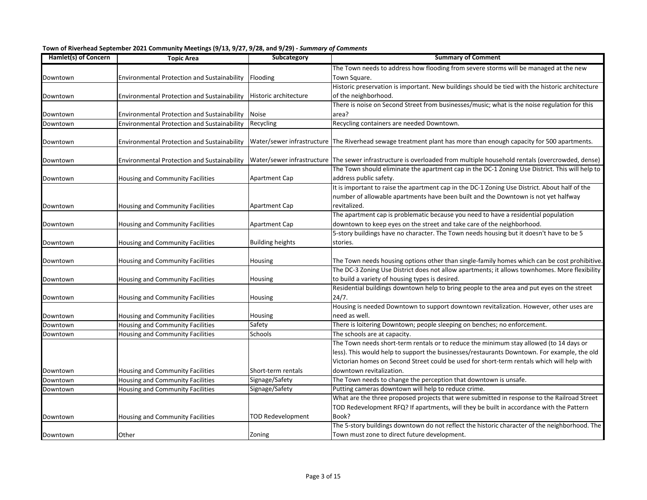| Hamlet(s) of Concern | <b>Topic Area</b>                                  | Subcategory              | <b>Summary of Comment</b>                                                                                              |
|----------------------|----------------------------------------------------|--------------------------|------------------------------------------------------------------------------------------------------------------------|
|                      |                                                    |                          | The Town needs to address how flooding from severe storms will be managed at the new                                   |
| Downtown             | Environmental Protection and Sustainability        | Flooding                 | Town Square.                                                                                                           |
|                      |                                                    |                          | Historic preservation is important. New buildings should be tied with the historic architecture                        |
| Downtown             | <b>Environmental Protection and Sustainability</b> | Historic architecture    | of the neighborhood.                                                                                                   |
|                      |                                                    |                          | There is noise on Second Street from businesses/music; what is the noise regulation for this                           |
| Downtown             | <b>Environmental Protection and Sustainability</b> | <b>Noise</b>             | area?                                                                                                                  |
| Downtown             | <b>Environmental Protection and Sustainability</b> | Recycling                | Recycling containers are needed Downtown.                                                                              |
|                      |                                                    |                          |                                                                                                                        |
| Downtown             | Environmental Protection and Sustainability        |                          | Water/sewer infrastructure The Riverhead sewage treatment plant has more than enough capacity for 500 apartments.      |
|                      |                                                    |                          |                                                                                                                        |
| Downtown             | <b>Environmental Protection and Sustainability</b> |                          | Water/sewer infrastructure The sewer infrastructure is overloaded from multiple household rentals (overcrowded, dense) |
|                      |                                                    |                          | The Town should eliminate the apartment cap in the DC-1 Zoning Use District. This will help to                         |
| Downtown             | Housing and Community Facilities                   | Apartment Cap            | address public safety.                                                                                                 |
|                      |                                                    |                          | It is important to raise the apartment cap in the DC-1 Zoning Use District. About half of the                          |
|                      |                                                    |                          | number of allowable apartments have been built and the Downtown is not yet halfway                                     |
| Downtown             | Housing and Community Facilities                   | Apartment Cap            | revitalized.                                                                                                           |
|                      |                                                    |                          | The apartment cap is problematic because you need to have a residential population                                     |
| Downtown             | Housing and Community Facilities                   | Apartment Cap            | downtown to keep eyes on the street and take care of the neighborhood.                                                 |
|                      |                                                    |                          | 5-story buildings have no character. The Town needs housing but it doesn't have to be 5                                |
| Downtown             | Housing and Community Facilities                   | <b>Building heights</b>  | stories.                                                                                                               |
|                      |                                                    |                          |                                                                                                                        |
| Downtown             | Housing and Community Facilities                   | Housing                  | The Town needs housing options other than single-family homes which can be cost prohibitive.                           |
|                      |                                                    |                          | The DC-3 Zoning Use District does not allow apartments; it allows townhomes. More flexibility                          |
| Downtown             | Housing and Community Facilities                   | Housing                  | to build a variety of housing types is desired.                                                                        |
|                      |                                                    |                          | Residential buildings downtown help to bring people to the area and put eyes on the street                             |
| Downtown             | Housing and Community Facilities                   | Housing                  | 24/7.                                                                                                                  |
|                      |                                                    |                          | Housing is needed Downtown to support downtown revitalization. However, other uses are                                 |
| Downtown             | Housing and Community Facilities                   | Housing                  | need as well.                                                                                                          |
| Downtown             | Housing and Community Facilities                   | Safety                   | There is loitering Downtown; people sleeping on benches; no enforcement.                                               |
| Downtown             | <b>Housing and Community Facilities</b>            | Schools                  | The schools are at capacity.                                                                                           |
|                      |                                                    |                          | The Town needs short-term rentals or to reduce the minimum stay allowed (to 14 days or                                 |
|                      |                                                    |                          | less). This would help to support the businesses/restaurants Downtown. For example, the old                            |
|                      |                                                    |                          | Victorian homes on Second Street could be used for short-term rentals which will help with                             |
| Downtown             | Housing and Community Facilities                   | Short-term rentals       | downtown revitalization.                                                                                               |
| Downtown             | <b>Housing and Community Facilities</b>            | Signage/Safety           | The Town needs to change the perception that downtown is unsafe.                                                       |
| Downtown             | Housing and Community Facilities                   | Signage/Safety           | Putting cameras downtown will help to reduce crime.                                                                    |
|                      |                                                    |                          | What are the three proposed projects that were submitted in response to the Railroad Street                            |
|                      |                                                    |                          | TOD Redevelopment RFQ? If apartments, will they be built in accordance with the Pattern                                |
| Downtown             | Housing and Community Facilities                   | <b>TOD Redevelopment</b> | Book?                                                                                                                  |
|                      |                                                    |                          | The 5-story buildings downtown do not reflect the historic character of the neighborhood. The                          |
| Downtown             | Other                                              | Zoning                   | Town must zone to direct future development.                                                                           |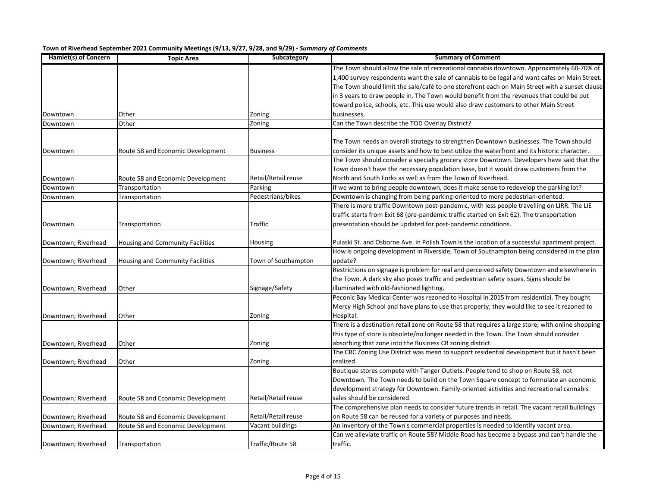| Hamlet(s) of Concern | <b>Topic Area</b>                 | Subcategory         | <b>Summary of Comment</b>                                                                        |
|----------------------|-----------------------------------|---------------------|--------------------------------------------------------------------------------------------------|
|                      |                                   |                     | The Town should allow the sale of recreational cannabis downtown. Approximately 60-70% of        |
|                      |                                   |                     | 1,400 survey respondents want the sale of cannabis to be legal and want cafes on Main Street.    |
|                      |                                   |                     | The Town should limit the sale/café to one storefront each on Main Street with a sunset clause   |
|                      |                                   |                     | in 3 years to draw people in. The Town would benefit from the revenues that could be put         |
|                      |                                   |                     | toward police, schools, etc. This use would also draw customers to other Main Street             |
| Downtown             | Other                             | Zoning              | businesses.                                                                                      |
| Downtown             | Other                             | Zoning              | Can the Town describe the TOD Overlay District?                                                  |
|                      |                                   |                     |                                                                                                  |
|                      |                                   |                     | The Town needs an overall strategy to strengthen Downtown businesses. The Town should            |
| Downtown             | Route 58 and Economic Development | <b>Business</b>     | consider its unique assets and how to best utilize the waterfront and its historic character.    |
|                      |                                   |                     | The Town should consider a specialty grocery store Downtown. Developers have said that the       |
|                      |                                   |                     | Town doesn't have the necessary population base, but it would draw customers from the            |
| Downtown             | Route 58 and Economic Development | Retail/Retail reuse | North and South Forks as well as from the Town of Riverhead.                                     |
| Downtown             | Transportation                    | Parking             | If we want to bring people downtown, does it make sense to redevelop the parking lot?            |
| Downtown             | Transportation                    | Pedestrians/bikes   | Downtown is changing from being parking-oriented to more pedestrian-oriented.                    |
|                      |                                   |                     | There is more traffic Downtown post-pandemic, with less people travelling on LIRR. The LIE       |
|                      |                                   |                     | traffic starts from Exit 68 (pre-pandemic traffic started on Exit 62). The transportation        |
| Downtown             | Transportation                    | Traffic             | presentation should be updated for post-pandemic conditions.                                     |
|                      |                                   |                     |                                                                                                  |
| Downtown; Riverhead  | Housing and Community Facilities  | Housing             | Pulaski St. and Osborne Ave. in Polish Town is the location of a successful apartment project.   |
|                      |                                   |                     | How is ongoing development in Riverside, Town of Southampton being considered in the plan        |
| Downtown; Riverhead  | Housing and Community Facilities  | Town of Southampton | update?                                                                                          |
|                      |                                   |                     | Restrictions on signage is problem for real and perceived safety Downtown and elsewhere in       |
|                      |                                   |                     | the Town. A dark sky also poses traffic and pedestrian safety issues. Signs should be            |
| Downtown; Riverhead  | Other                             | Signage/Safety      | illuminated with old-fashioned lighting.                                                         |
|                      |                                   |                     | Peconic Bay Medical Center was rezoned to Hospital in 2015 from residential. They bought         |
|                      |                                   |                     | Mercy High School and have plans to use that property; they would like to see it rezoned to      |
| Downtown; Riverhead  | Other                             | Zoning              | Hospital.                                                                                        |
|                      |                                   |                     | There is a destination retail zone on Route 58 that requires a large store; with online shopping |
|                      |                                   |                     | this type of store is obsolete/no longer needed in the Town. The Town should consider            |
| Downtown; Riverhead  | Other                             | Zoning              | absorbing that zone into the Business CR zoning district.                                        |
|                      |                                   |                     | The CRC Zoning Use District was mean to support residential development but it hasn't been       |
| Downtown; Riverhead  | Other                             | Zoning              | realized.                                                                                        |
|                      |                                   |                     | Boutique stores compete with Tanger Outlets. People tend to shop on Route 58, not                |
|                      |                                   |                     | Downtown. The Town needs to build on the Town Square concept to formulate an economic            |
|                      |                                   |                     | development strategy for Downtown. Family-oriented activities and recreational cannabis          |
| Downtown; Riverhead  | Route 58 and Economic Development | Retail/Retail reuse | sales should be considered.                                                                      |
|                      |                                   |                     | The comprehensive plan needs to consider future trends in retail. The vacant retail buildings    |
| Downtown; Riverhead  | Route 58 and Economic Development | Retail/Retail reuse | on Route 58 can be reused for a variety of purposes and needs.                                   |
| Downtown; Riverhead  | Route 58 and Economic Development | Vacant buildings    | An inventory of the Town's commercial properties is needed to identify vacant area.              |
|                      |                                   |                     | Can we alleviate traffic on Route 58? Middle Road has become a bypass and can't handle the       |
| Downtown; Riverhead  | Transportation                    | Traffic/Route 58    | traffic.                                                                                         |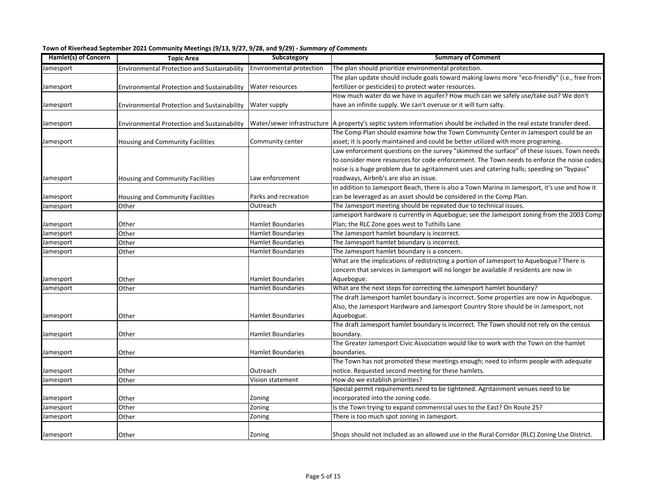| Hamlet(s) of Concern | , -- י-י-<br><b>Topic Area</b>                     | Subcategory                     | <b>Summary of Comment</b>                                                                                              |
|----------------------|----------------------------------------------------|---------------------------------|------------------------------------------------------------------------------------------------------------------------|
| lamesport            | Environmental Protection and Sustainability        | <b>Environmental protection</b> | The plan should prioritize environmental protection.                                                                   |
|                      |                                                    |                                 | The plan update should include goals toward making lawns more "eco-friendly" (i.e., free from                          |
| Jamesport            | <b>Environmental Protection and Sustainability</b> | Water resources                 | fertilizer or pesticides) to protect water resources.                                                                  |
|                      |                                                    |                                 | How much water do we have in aquifer? How much can we safely use/take out? We don't                                    |
| Jamesport            | <b>Environmental Protection and Sustainability</b> | Water supply                    | have an infinite supply. We can't overuse or it will turn salty.                                                       |
|                      |                                                    |                                 |                                                                                                                        |
| Jamesport            | <b>Environmental Protection and Sustainability</b> |                                 | Water/sewer infrastructure A property's septic system information should be included in the real estate transfer deed. |
|                      |                                                    |                                 | The Comp Plan should examine how the Town Community Center in Jamesport could be an                                    |
| lamesport            | Housing and Community Facilities                   | Community center                | asset; it is poorly maintained and could be better utilized with more programing.                                      |
|                      |                                                    |                                 | Law enforcement questions on the survey "skimmed the surface" of these issues. Town needs                              |
|                      |                                                    |                                 | to consider more resources for code enforcement. The Town needs to enforce the noise codes;                            |
|                      |                                                    |                                 | noise is a huge problem due to agritainment uses and catering halls; speeding on "bypass"                              |
| Jamesport            | Housing and Community Facilities                   | Law enforcement                 | roadways, Airbnb's are also an issue.                                                                                  |
|                      |                                                    |                                 | In addition to Jamesport Beach, there is also a Town Marina in Jamesport, it's use and how it                          |
| Jamesport            | Housing and Community Facilities                   | Parks and recreation            | can be leveraged as an asset should be considered in the Comp Plan.                                                    |
| Jamesport            | Other                                              | Outreach                        | The Jamesport meeting should be repeated due to technical issues.                                                      |
|                      |                                                    |                                 | Jamesport hardware is currently in Aquebogue; see the Jamesport zoning from the 2003 Comp                              |
| amesport             | Other                                              | Hamlet Boundaries               | Plan; the RLC Zone goes west to Tuthills Lane                                                                          |
| lamesport            | Other                                              | <b>Hamlet Boundaries</b>        | The Jamesport hamlet boundary is incorrect.                                                                            |
| amesport             | Other                                              | Hamlet Boundaries               | The Jamesport hamlet boundary is incorrect.                                                                            |
| Jamesport            | Other                                              | Hamlet Boundaries               | The Jamesport hamlet boundary is a concern.                                                                            |
|                      |                                                    |                                 | What are the implications of redistricting a portion of Jamesport to Aquebogue? There is                               |
|                      |                                                    |                                 | concern that services in Jamesport will no longer be available if residents are now in                                 |
| lamesport            | Other                                              | <b>Hamlet Boundaries</b>        | Aquebogue.                                                                                                             |
| Jamesport            | Other                                              | <b>Hamlet Boundaries</b>        | What are the next steps for correcting the Jamesport hamlet boundary?                                                  |
|                      |                                                    |                                 | The draft Jamesport hamlet boundary is incorrect. Some properties are now in Aquebogue.                                |
|                      |                                                    |                                 | Also, the Jamesport Hardware and Jamesport Country Store should be in Jamesport, not                                   |
| Jamesport            | Other                                              | <b>Hamlet Boundaries</b>        | Aquebogue.                                                                                                             |
|                      |                                                    |                                 | The draft Jamesport hamlet boundary is incorrect. The Town should not rely on the census                               |
| Jamesport            | Other                                              | Hamlet Boundaries               | boundary.                                                                                                              |
|                      |                                                    |                                 | The Greater Jamesport Civic Association would like to work with the Town on the hamlet                                 |
| Jamesport            | Other                                              | <b>Hamlet Boundaries</b>        | boundaries.                                                                                                            |
|                      |                                                    |                                 | The Town has not promoted these meetings enough; need to inform people with adequate                                   |
| amesport             | Other                                              | Outreach                        | notice. Requested second meeting for these hamlets.                                                                    |
| Jamesport            | Other                                              | Vision statement                | How do we establish priorities?                                                                                        |
|                      |                                                    |                                 | Special permit requirements need to be tightened. Agritainment venues need to be                                       |
| amesport             | Other                                              | Zoning                          | incorporated into the zoning code.                                                                                     |
| Jamesport            | Other                                              | Zoning                          | Is the Town trying to expand commenrcial uses to the East? On Route 25?                                                |
| Jamesport            | Other                                              | Zoning                          | There is too much spot zoning in Jamesport.                                                                            |
|                      |                                                    |                                 |                                                                                                                        |
| Jamesport            | Other                                              | Zoning                          | Shops should not included as an allowed use in the Rural Corridor (RLC) Zoning Use District.                           |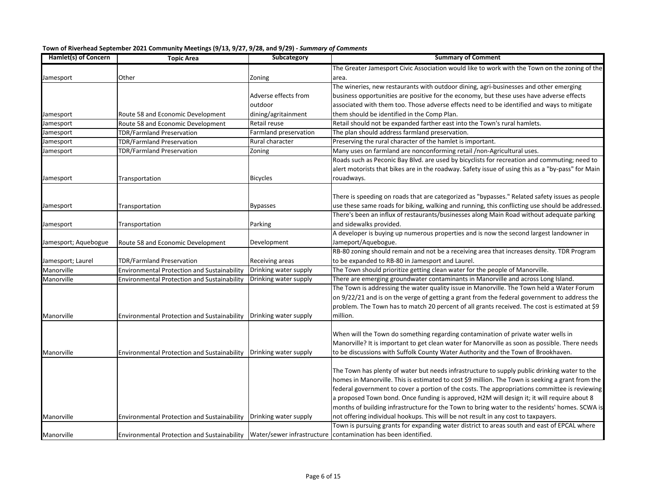| Town of Riverhead September 2021 Community Meetings (9/13, 9/27, 9/28, and 9/29) - Summary of Comments |  |  |
|--------------------------------------------------------------------------------------------------------|--|--|
|--------------------------------------------------------------------------------------------------------|--|--|

| Hamlet(s) of Concern | <b>Topic Area</b>                                                        | Subcategory           | <b>Summary of Comment</b>                                                                         |
|----------------------|--------------------------------------------------------------------------|-----------------------|---------------------------------------------------------------------------------------------------|
|                      |                                                                          |                       | The Greater Jamesport Civic Association would like to work with the Town on the zoning of the     |
| Jamesport            | Other                                                                    | Zoning                | area.                                                                                             |
|                      |                                                                          |                       | The wineries, new restaurants with outdoor dining, agri-businesses and other emerging             |
|                      |                                                                          | Adverse effects from  | business opportunities are positive for the economy, but these uses have adverse effects          |
|                      |                                                                          | outdoor               | associated with them too. Those adverse effects need to be identified and ways to mitigate        |
| Jamesport            | Route 58 and Economic Development                                        | dining/agritainment   | them should be identified in the Comp Plan.                                                       |
| Jamesport            | Route 58 and Economic Development                                        | Retail reuse          | Retail should not be expanded farther east into the Town's rural hamlets.                         |
| Jamesport            | TDR/Farmland Preservation                                                | Farmland preservation | The plan should address farmland preservation.                                                    |
| lamesport            | TDR/Farmland Preservation                                                | Rural character       | Preserving the rural character of the hamlet is important.                                        |
| Jamesport            | TDR/Farmland Preservation                                                | Zoning                | Many uses on farmland are nonconforming retail /non-Agricultural uses.                            |
|                      |                                                                          |                       | Roads such as Peconic Bay Blvd. are used by bicyclists for recreation and commuting; need to      |
|                      |                                                                          |                       | alert motorists that bikes are in the roadway. Safety issue of using this as a "by-pass" for Main |
| Jamesport            | Transportation                                                           | <b>Bicycles</b>       | rouadways.                                                                                        |
|                      |                                                                          |                       |                                                                                                   |
|                      |                                                                          |                       | There is speeding on roads that are categorized as "bypasses." Related safety issues as people    |
| Jamesport            | Transportation                                                           | <b>Bypasses</b>       | use these same roads for biking, walking and running, this conflicting use should be addressed.   |
|                      |                                                                          |                       | There's been an influx of restaurants/businesses along Main Road without adequate parking         |
| Jamesport            | Transportation                                                           | Parking               | and sidewalks provided.                                                                           |
|                      |                                                                          |                       | A developer is buying up numerous properties and is now the second largest landowner in           |
| Jamesport; Aquebogue | Route 58 and Economic Development                                        | Development           | Jameport/Aquebogue.                                                                               |
|                      |                                                                          |                       | RB-80 zoning should remain and not be a receiving area that increases density. TDR Program        |
| Jamesport; Laurel    | TDR/Farmland Preservation                                                | Receiving areas       | to be expanded to RB-80 in Jamesport and Laurel.                                                  |
| Manorville           | Environmental Protection and Sustainability                              | Drinking water supply | The Town should prioritize getting clean water for the people of Manorville.                      |
| Manorville           | Environmental Protection and Sustainability                              | Drinking water supply | There are emerging groundwater contaminants in Manorville and across Long Island.                 |
|                      |                                                                          |                       | The Town is addressing the water quality issue in Manorville. The Town held a Water Forum         |
|                      |                                                                          |                       | on 9/22/21 and is on the verge of getting a grant from the federal government to address the      |
|                      |                                                                          |                       | problem. The Town has to match 20 percent of all grants received. The cost is estimated at \$9    |
| Manorville           | <b>Environmental Protection and Sustainability</b>                       | Drinking water supply | million.                                                                                          |
|                      |                                                                          |                       |                                                                                                   |
|                      |                                                                          |                       | When will the Town do something regarding contamination of private water wells in                 |
|                      |                                                                          |                       | Manorville? It is important to get clean water for Manorville as soon as possible. There needs    |
| Manorville           | Environmental Protection and Sustainability                              | Drinking water supply | to be discussions with Suffolk County Water Authority and the Town of Brookhaven.                 |
|                      |                                                                          |                       |                                                                                                   |
|                      |                                                                          |                       | The Town has plenty of water but needs infrastructure to supply public drinking water to the      |
|                      |                                                                          |                       | homes in Manorville. This is estimated to cost \$9 million. The Town is seeking a grant from the  |
|                      |                                                                          |                       | federal government to cover a portion of the costs. The appropriations committee is reviewing     |
|                      |                                                                          |                       | a proposed Town bond. Once funding is approved, H2M will design it; it will require about 8       |
|                      |                                                                          |                       | months of building infrastructure for the Town to bring water to the residents' homes. SCWA is    |
| Manorville           | Environmental Protection and Sustainability   Drinking water supply      |                       | not offering individual hookups. This will be not result in any cost to taxpayers.                |
|                      |                                                                          |                       | Town is pursuing grants for expanding water district to areas south and east of EPCAL where       |
| Manorville           | Environmental Protection and Sustainability   Water/sewer infrastructure |                       | contamination has been identified.                                                                |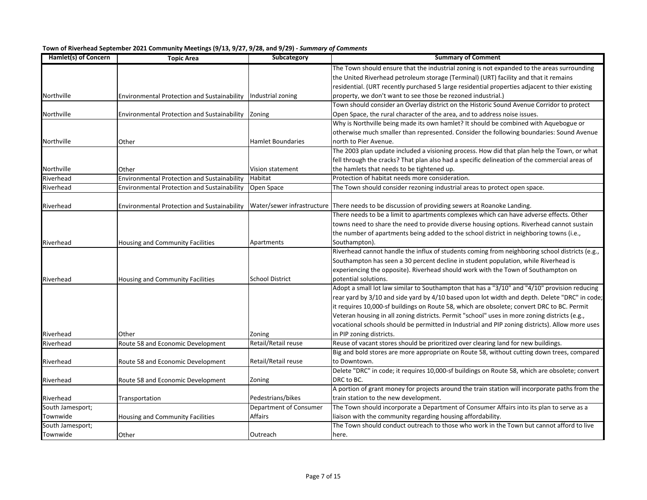| Hamlet(s) of Concern          | <b>Topic Area</b>                                  | Subcategory            | <b>Summary of Comment</b>                                                                       |
|-------------------------------|----------------------------------------------------|------------------------|-------------------------------------------------------------------------------------------------|
|                               |                                                    |                        | The Town should ensure that the industrial zoning is not expanded to the areas surrounding      |
|                               |                                                    |                        | the United Riverhead petroleum storage (Terminal) (URT) facility and that it remains            |
|                               |                                                    |                        | residential. (URT recently purchased 5 large residential properties adjacent to thier existing  |
| Northville                    | <b>Environmental Protection and Sustainability</b> | Industrial zoning      | property, we don't want to see those be rezoned industrial.)                                    |
|                               |                                                    |                        | Town should consider an Overlay district on the Historic Sound Avenue Corridor to protect       |
| Northville                    | <b>Environmental Protection and Sustainability</b> | Zoning                 | Open Space, the rural character of the area, and to address noise issues.                       |
|                               |                                                    |                        | Why is Northville being made its own hamlet? It should be combined with Aquebogue or            |
|                               |                                                    |                        | otherwise much smaller than represented. Consider the following boundaries: Sound Avenue        |
| Northville                    | Other                                              | Hamlet Boundaries      | north to Pier Avenue.                                                                           |
|                               |                                                    |                        | The 2003 plan update included a visioning process. How did that plan help the Town, or what     |
|                               |                                                    |                        | fell through the cracks? That plan also had a specific delineation of the commercial areas of   |
| Northville                    | Other                                              | Vision statement       | the hamlets that needs to be tightened up.                                                      |
| Riverhead                     | <b>Environmental Protection and Sustainability</b> | Habitat                | Protection of habitat needs more consideration.                                                 |
| Riverhead                     | Environmental Protection and Sustainability        | Open Space             | The Town should consider rezoning industrial areas to protect open space.                       |
|                               |                                                    |                        |                                                                                                 |
| Riverhead                     | <b>Environmental Protection and Sustainability</b> |                        | Water/sewer infrastructure There needs to be discussion of providing sewers at Roanoke Landing. |
|                               |                                                    |                        | There needs to be a limit to apartments complexes which can have adverse effects. Other         |
|                               |                                                    |                        | towns need to share the need to provide diverse housing options. Riverhead cannot sustain       |
|                               |                                                    |                        | the number of apartments being added to the school district in neighboring towns (i.e.,         |
| Riverhead                     | Housing and Community Facilities                   | Apartments             | Southampton).                                                                                   |
|                               |                                                    |                        | Riverhead cannot handle the influx of students coming from neighboring school districts (e.g.,  |
|                               |                                                    |                        | Southampton has seen a 30 percent decline in student population, while Riverhead is             |
|                               |                                                    |                        | experiencing the opposite). Riverhead should work with the Town of Southampton on               |
| Riverhead                     | Housing and Community Facilities                   | <b>School District</b> | potential solutions.                                                                            |
|                               |                                                    |                        | Adopt a small lot law similar to Southampton that has a "3/10" and "4/10" provision reducing    |
|                               |                                                    |                        | rear yard by 3/10 and side yard by 4/10 based upon lot width and depth. Delete "DRC" in code;   |
|                               |                                                    |                        | it requires 10,000-sf buildings on Route 58, which are obsolete; convert DRC to BC. Permit      |
|                               |                                                    |                        | Veteran housing in all zoning districts. Permit "school" uses in more zoning districts (e.g.,   |
|                               |                                                    |                        | vocational schools should be permitted in Industrial and PIP zoning districts). Allow more uses |
| Riverhead                     | Other                                              | Zoning                 | in PIP zoning districts.                                                                        |
| Riverhead                     | Route 58 and Economic Development                  | Retail/Retail reuse    | Reuse of vacant stores should be prioritized over clearing land for new buildings.              |
|                               |                                                    |                        | Big and bold stores are more appropriate on Route 58, without cutting down trees, compared      |
| Riverhead                     | Route 58 and Economic Development                  | Retail/Retail reuse    | to Downtown.                                                                                    |
|                               |                                                    |                        | Delete "DRC" in code; it requires 10,000-sf buildings on Route 58, which are obsolete; convert  |
| Riverhead                     | Route 58 and Economic Development                  | Zoning                 | DRC to BC.                                                                                      |
|                               |                                                    |                        | A portion of grant money for projects around the train station will incorporate paths from the  |
|                               |                                                    | Pedestrians/bikes      | train station to the new development.                                                           |
| Riverhead<br>South Jamesport; | Transportation                                     | Department of Consumer | The Town should incorporate a Department of Consumer Affairs into its plan to serve as a        |
| Townwide                      |                                                    | Affairs                |                                                                                                 |
|                               | Housing and Community Facilities                   |                        | liaison with the community regarding housing affordability.                                     |
| South Jamesport;              |                                                    |                        | The Town should conduct outreach to those who work in the Town but cannot afford to live        |
| Townwide                      | Other                                              | Outreach               | here.                                                                                           |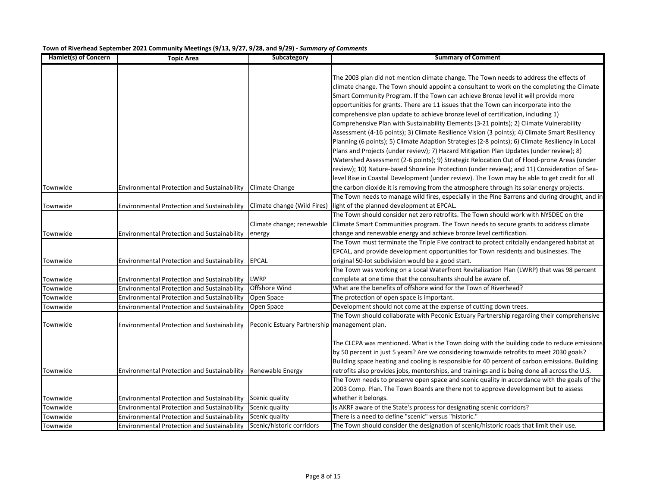| Hamlet(s) of Concern | <b>Topic Area</b>                                              | Subcategory                         | <b>Summary of Comment</b>                                                                                                                                                                                                                                                                                                                                                                                                                                                                                                                                                                                                                                                                                                                                                                                                                                                                                                                                                                                                                                                                                                                        |
|----------------------|----------------------------------------------------------------|-------------------------------------|--------------------------------------------------------------------------------------------------------------------------------------------------------------------------------------------------------------------------------------------------------------------------------------------------------------------------------------------------------------------------------------------------------------------------------------------------------------------------------------------------------------------------------------------------------------------------------------------------------------------------------------------------------------------------------------------------------------------------------------------------------------------------------------------------------------------------------------------------------------------------------------------------------------------------------------------------------------------------------------------------------------------------------------------------------------------------------------------------------------------------------------------------|
|                      |                                                                |                                     | The 2003 plan did not mention climate change. The Town needs to address the effects of<br>climate change. The Town should appoint a consultant to work on the completing the Climate<br>Smart Community Program. If the Town can achieve Bronze level it will provide more<br>opportunities for grants. There are 11 issues that the Town can incorporate into the<br>comprehensive plan update to achieve bronze level of certification, including 1)<br>Comprehensive Plan with Sustainability Elements (3-21 points); 2) Climate Vulnerability<br>Assessment (4-16 points); 3) Climate Resilience Vision (3 points); 4) Climate Smart Resiliency<br>Planning (6 points); 5) Climate Adaption Strategies (2-8 points); 6) Climate Resiliency in Local<br>Plans and Projects (under review); 7) Hazard Mitigation Plan Updates (under review); 8)<br>Watershed Assessment (2-6 points); 9) Strategic Relocation Out of Flood-prone Areas (under<br>review); 10) Nature-based Shoreline Protection (under review); and 11) Consideration of Sea-<br>level Rise in Coastal Development (under review). The Town may be able to get credit for all |
| Townwide             | Environmental Protection and Sustainability                    | Climate Change                      | the carbon dioxide it is removing from the atmosphere through its solar energy projects.                                                                                                                                                                                                                                                                                                                                                                                                                                                                                                                                                                                                                                                                                                                                                                                                                                                                                                                                                                                                                                                         |
| Townwide             | <b>Environmental Protection and Sustainability</b>             | Climate change (Wild Fires)         | The Town needs to manage wild fires, especially in the Pine Barrens and during drought, and in<br>light of the planned development at EPCAL.                                                                                                                                                                                                                                                                                                                                                                                                                                                                                                                                                                                                                                                                                                                                                                                                                                                                                                                                                                                                     |
| Townwide             | <b>Environmental Protection and Sustainability</b>             | Climate change; renewable<br>energy | The Town should consider net zero retrofits. The Town should work with NYSDEC on the<br>Climate Smart Communities program. The Town needs to secure grants to address climate<br>change and renewable energy and achieve bronze level certification.                                                                                                                                                                                                                                                                                                                                                                                                                                                                                                                                                                                                                                                                                                                                                                                                                                                                                             |
| Townwide             | <b>Environmental Protection and Sustainability</b>             | <b>EPCAL</b>                        | The Town must terminate the Triple Five contract to protect critcially endangered habitat at<br>EPCAL, and provide development opportunities for Town residents and businesses. The<br>original 50-lot subdivision would be a good start.                                                                                                                                                                                                                                                                                                                                                                                                                                                                                                                                                                                                                                                                                                                                                                                                                                                                                                        |
| Townwide             | <b>Environmental Protection and Sustainability</b>             | <b>LWRP</b>                         | The Town was working on a Local Waterfront Revitalization Plan (LWRP) that was 98 percent<br>complete at one time that the consultants should be aware of.                                                                                                                                                                                                                                                                                                                                                                                                                                                                                                                                                                                                                                                                                                                                                                                                                                                                                                                                                                                       |
| Townwide             | <b>Environmental Protection and Sustainability</b>             | Offshore Wind                       | What are the benefits of offshore wind for the Town of Riverhead?                                                                                                                                                                                                                                                                                                                                                                                                                                                                                                                                                                                                                                                                                                                                                                                                                                                                                                                                                                                                                                                                                |
| Townwide             | <b>Environmental Protection and Sustainability</b>             | Open Space                          | The protection of open space is important.                                                                                                                                                                                                                                                                                                                                                                                                                                                                                                                                                                                                                                                                                                                                                                                                                                                                                                                                                                                                                                                                                                       |
| Townwide             | <b>Environmental Protection and Sustainability</b>             | Open Space                          | Development should not come at the expense of cutting down trees.                                                                                                                                                                                                                                                                                                                                                                                                                                                                                                                                                                                                                                                                                                                                                                                                                                                                                                                                                                                                                                                                                |
| Townwide             | <b>Environmental Protection and Sustainability</b>             | Peconic Estuary Partnership         | The Town should collaborate with Peconic Estuary Partnership regarding their comprehensive<br>management plan.                                                                                                                                                                                                                                                                                                                                                                                                                                                                                                                                                                                                                                                                                                                                                                                                                                                                                                                                                                                                                                   |
| Townwide             | Environmental Protection and Sustainability   Renewable Energy |                                     | The CLCPA was mentioned. What is the Town doing with the building code to reduce emissions<br>by 50 percent in just 5 years? Are we considering townwide retrofits to meet 2030 goals?<br>Building space heating and cooling is responsible for 40 percent of carbon emissions. Building<br>retrofits also provides jobs, mentorships, and trainings and is being done all across the U.S.<br>The Town needs to preserve open space and scenic quality in accordance with the goals of the                                                                                                                                                                                                                                                                                                                                                                                                                                                                                                                                                                                                                                                       |
| Townwide             | <b>Environmental Protection and Sustainability</b>             | Scenic quality                      | 2003 Comp. Plan. The Town Boards are there not to approve development but to assess<br>whether it belongs.                                                                                                                                                                                                                                                                                                                                                                                                                                                                                                                                                                                                                                                                                                                                                                                                                                                                                                                                                                                                                                       |
| Townwide             | <b>Environmental Protection and Sustainability</b>             | Scenic quality                      | Is AKRF aware of the State's process for designating scenic corridors?                                                                                                                                                                                                                                                                                                                                                                                                                                                                                                                                                                                                                                                                                                                                                                                                                                                                                                                                                                                                                                                                           |
| Townwide             | Environmental Protection and Sustainability                    | Scenic quality                      | There is a need to define "scenic" versus "historic."                                                                                                                                                                                                                                                                                                                                                                                                                                                                                                                                                                                                                                                                                                                                                                                                                                                                                                                                                                                                                                                                                            |
| Townwide             | <b>Environmental Protection and Sustainability</b>             | Scenic/historic corridors           | The Town should consider the designation of scenic/historic roads that limit their use.                                                                                                                                                                                                                                                                                                                                                                                                                                                                                                                                                                                                                                                                                                                                                                                                                                                                                                                                                                                                                                                          |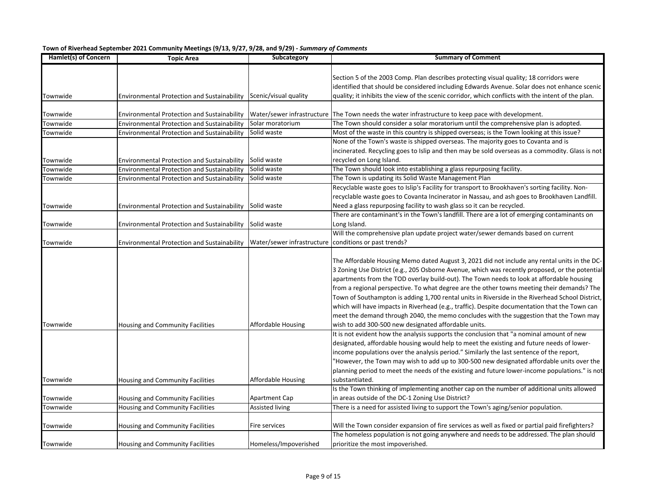| Hamlet(s) of Concern | <b>Topic Area</b>                                                 | Subcategory                | <b>Summary of Comment</b>                                                                                                                                                                                                                                                                                                                                                                                                                                                                                                                                                                                                                                                              |
|----------------------|-------------------------------------------------------------------|----------------------------|----------------------------------------------------------------------------------------------------------------------------------------------------------------------------------------------------------------------------------------------------------------------------------------------------------------------------------------------------------------------------------------------------------------------------------------------------------------------------------------------------------------------------------------------------------------------------------------------------------------------------------------------------------------------------------------|
| Townwide             | Environmental Protection and Sustainability Scenic/visual quality |                            | Section 5 of the 2003 Comp. Plan describes protecting visual quality; 18 corridors were<br>identified that should be considered including Edwards Avenue. Solar does not enhance scenic<br>quality; it inhibits the view of the scenic corridor, which conflicts with the intent of the plan.                                                                                                                                                                                                                                                                                                                                                                                          |
|                      |                                                                   |                            |                                                                                                                                                                                                                                                                                                                                                                                                                                                                                                                                                                                                                                                                                        |
| Townwide             | <b>Environmental Protection and Sustainability</b>                |                            | Water/sewer infrastructure The Town needs the water infrastructure to keep pace with development.                                                                                                                                                                                                                                                                                                                                                                                                                                                                                                                                                                                      |
| Townwide             | <b>Environmental Protection and Sustainability</b>                | Solar moratorium           | The Town should consider a solar moratorium until the comprehensive plan is adopted.                                                                                                                                                                                                                                                                                                                                                                                                                                                                                                                                                                                                   |
| Townwide             | <b>Environmental Protection and Sustainability</b>                | Solid waste                | Most of the waste in this country is shipped overseas; is the Town looking at this issue?                                                                                                                                                                                                                                                                                                                                                                                                                                                                                                                                                                                              |
|                      |                                                                   |                            | None of the Town's waste is shipped overseas. The majority goes to Covanta and is<br>incinerated. Recycling goes to Islip and then may be sold overseas as a commodity. Glass is not                                                                                                                                                                                                                                                                                                                                                                                                                                                                                                   |
| Townwide             | <b>Environmental Protection and Sustainability</b>                | Solid waste                | recycled on Long Island.                                                                                                                                                                                                                                                                                                                                                                                                                                                                                                                                                                                                                                                               |
| Townwide             | <b>Environmental Protection and Sustainability</b>                | Solid waste                | The Town should look into establishing a glass repurposing facility.                                                                                                                                                                                                                                                                                                                                                                                                                                                                                                                                                                                                                   |
| Townwide             | <b>Environmental Protection and Sustainability</b>                | Solid waste                | The Town is updating its Solid Waste Management Plan                                                                                                                                                                                                                                                                                                                                                                                                                                                                                                                                                                                                                                   |
|                      |                                                                   |                            | Recyclable waste goes to Islip's Facility for transport to Brookhaven's sorting facility. Non-<br>recyclable waste goes to Covanta Incinerator in Nassau, and ash goes to Brookhaven Landfill.                                                                                                                                                                                                                                                                                                                                                                                                                                                                                         |
| Townwide             | <b>Environmental Protection and Sustainability</b>                | Solid waste                | Need a glass repurposing facility to wash glass so it can be recycled.                                                                                                                                                                                                                                                                                                                                                                                                                                                                                                                                                                                                                 |
|                      |                                                                   |                            | There are contaminant's in the Town's landfill. There are a lot of emerging contaminants on                                                                                                                                                                                                                                                                                                                                                                                                                                                                                                                                                                                            |
| Townwide             | <b>Environmental Protection and Sustainability</b>                | Solid waste                | Long Island.                                                                                                                                                                                                                                                                                                                                                                                                                                                                                                                                                                                                                                                                           |
| Townwide             | <b>Environmental Protection and Sustainability</b>                | Water/sewer infrastructure | Will the comprehensive plan update project water/sewer demands based on current<br>conditions or past trends?                                                                                                                                                                                                                                                                                                                                                                                                                                                                                                                                                                          |
|                      |                                                                   |                            | The Affordable Housing Memo dated August 3, 2021 did not include any rental units in the DC-<br>3 Zoning Use District (e.g., 205 Osborne Avenue, which was recently proposed, or the potential<br>apartments from the TOD overlay build-out). The Town needs to look at affordable housing<br>from a regional perspective. To what degree are the other towns meeting their demands? The<br>Town of Southampton is adding 1,700 rental units in Riverside in the Riverhead School District,<br>which will have impacts in Riverhead (e.g., traffic). Despite documentation that the Town can<br>meet the demand through 2040, the memo concludes with the suggestion that the Town may |
| Townwide             | Housing and Community Facilities                                  | Affordable Housing         | wish to add 300-500 new designated affordable units.                                                                                                                                                                                                                                                                                                                                                                                                                                                                                                                                                                                                                                   |
|                      |                                                                   |                            | It is not evident how the analysis supports the conclusion that "a nominal amount of new<br>designated, affordable housing would help to meet the existing and future needs of lower-<br>income populations over the analysis period." Similarly the last sentence of the report,<br>"However, the Town may wish to add up to 300-500 new designated affordable units over the<br>planning period to meet the needs of the existing and future lower-income populations." is not                                                                                                                                                                                                       |
| Townwide             | Housing and Community Facilities                                  | Affordable Housing         | substantiated.                                                                                                                                                                                                                                                                                                                                                                                                                                                                                                                                                                                                                                                                         |
| Townwide             | Housing and Community Facilities                                  | <b>Apartment Cap</b>       | Is the Town thinking of implementing another cap on the number of additional units allowed<br>in areas outside of the DC-1 Zoning Use District?                                                                                                                                                                                                                                                                                                                                                                                                                                                                                                                                        |
| Townwide             | Housing and Community Facilities                                  | Assisted living            | There is a need for assisted living to support the Town's aging/senior population.                                                                                                                                                                                                                                                                                                                                                                                                                                                                                                                                                                                                     |
| Townwide             | Housing and Community Facilities                                  | <b>Fire services</b>       | Will the Town consider expansion of fire services as well as fixed or partial paid firefighters?                                                                                                                                                                                                                                                                                                                                                                                                                                                                                                                                                                                       |
| Townwide             | <b>Housing and Community Facilities</b>                           | Homeless/Impoverished      | The homeless population is not going anywhere and needs to be addressed. The plan should<br>prioritize the most impoverished.                                                                                                                                                                                                                                                                                                                                                                                                                                                                                                                                                          |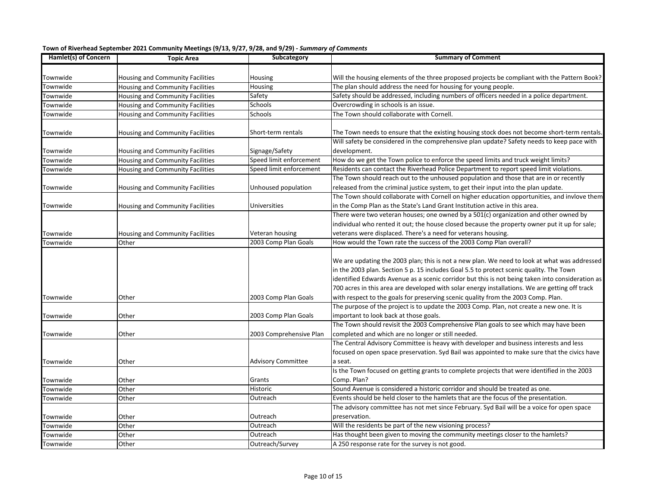| Hamlet(s) of Concern | <b>Topic Area</b>                       | Subcategory               | <b>Summary of Comment</b>                                                                        |
|----------------------|-----------------------------------------|---------------------------|--------------------------------------------------------------------------------------------------|
|                      |                                         |                           |                                                                                                  |
| Townwide             | Housing and Community Facilities        | Housing                   | Will the housing elements of the three proposed projects be compliant with the Pattern Book?     |
| <b>Townwide</b>      | Housing and Community Facilities        | Housing                   | The plan should address the need for housing for young people.                                   |
| <b>Townwide</b>      | Housing and Community Facilities        | Safety                    | Safety should be addressed, including numbers of officers needed in a police department.         |
| <b>Townwide</b>      | Housing and Community Facilities        | Schools                   | Overcrowding in schools is an issue.                                                             |
| <b>Townwide</b>      | Housing and Community Facilities        | Schools                   | The Town should collaborate with Cornell.                                                        |
|                      |                                         |                           |                                                                                                  |
| Townwide             | Housing and Community Facilities        | Short-term rentals        | The Town needs to ensure that the existing housing stock does not become short-term rentals.     |
|                      |                                         |                           | Will safety be considered in the comprehensive plan update? Safety needs to keep pace with       |
| Townwide             | Housing and Community Facilities        | Signage/Safety            | development.                                                                                     |
| <b>Townwide</b>      | <b>Housing and Community Facilities</b> | Speed limit enforcement   | How do we get the Town police to enforce the speed limits and truck weight limits?               |
| <b>Townwide</b>      | Housing and Community Facilities        | Speed limit enforcement   | Residents can contact the Riverhead Police Department to report speed limit violations.          |
|                      |                                         |                           | The Town should reach out to the unhoused population and those that are in or recently           |
| Townwide             | Housing and Community Facilities        | Unhoused population       | released from the criminal justice system, to get their input into the plan update.              |
|                      |                                         |                           | The Town should collaborate with Cornell on higher education opportunities, and invlove them     |
| Townwide             | Housing and Community Facilities        | Universities              | in the Comp Plan as the State's Land Grant Institution active in this area.                      |
|                      |                                         |                           | There were two veteran houses; one owned by a 501(c) organization and other owned by             |
|                      |                                         |                           | individual who rented it out; the house closed because the property owner put it up for sale;    |
| Townwide             | Housing and Community Facilities        | Veteran housing           | veterans were displaced. There's a need for veterans housing.                                    |
| <b>Townwide</b>      | Other                                   | 2003 Comp Plan Goals      | How would the Town rate the success of the 2003 Comp Plan overall?                               |
|                      |                                         |                           |                                                                                                  |
|                      |                                         |                           | We are updating the 2003 plan; this is not a new plan. We need to look at what was addressed     |
|                      |                                         |                           | in the 2003 plan. Section 5 p. 15 includes Goal 5.5 to protect scenic quality. The Town          |
|                      |                                         |                           | identified Edwards Avenue as a scenic corridor but this is not being taken into consideration as |
|                      |                                         |                           | 700 acres in this area are developed with solar energy installations. We are getting off track   |
| Townwide             | Other                                   | 2003 Comp Plan Goals      | with respect to the goals for preserving scenic quality from the 2003 Comp. Plan.                |
|                      |                                         |                           | The purpose of the project is to update the 2003 Comp. Plan, not create a new one. It is         |
| Townwide             | Other                                   | 2003 Comp Plan Goals      | important to look back at those goals.                                                           |
|                      |                                         |                           | The Town should revisit the 2003 Comprehensive Plan goals to see which may have been             |
| Townwide             | Other                                   | 2003 Comprehensive Plan   | completed and which are no longer or still needed.                                               |
|                      |                                         |                           | The Central Advisory Committee is heavy with developer and business interests and less           |
|                      |                                         |                           | focused on open space preservation. Syd Bail was appointed to make sure that the civics have     |
| Townwide             | Other                                   | <b>Advisory Committee</b> | a seat.                                                                                          |
|                      |                                         |                           | Is the Town focused on getting grants to complete projects that were identified in the 2003      |
| Townwide             | Other                                   | Grants                    | Comp. Plan?                                                                                      |
| <b>Townwide</b>      | Other                                   | <b>Historic</b>           | Sound Avenue is considered a historic corridor and should be treated as one.                     |
| Townwide             | Other                                   | Outreach                  | Events should be held closer to the hamlets that are the focus of the presentation.              |
|                      |                                         |                           | The advisory committee has not met since February. Syd Bail will be a voice for open space       |
| Townwide             | Other                                   | Outreach                  | preservation.                                                                                    |
| <b>Townwide</b>      | Other                                   | Outreach                  | Will the residents be part of the new visioning process?                                         |
| <b>Townwide</b>      | Other                                   | Outreach                  | Has thought been given to moving the community meetings closer to the hamlets?                   |
| Townwide             | Other                                   | Outreach/Survey           | A 250 response rate for the survey is not good.                                                  |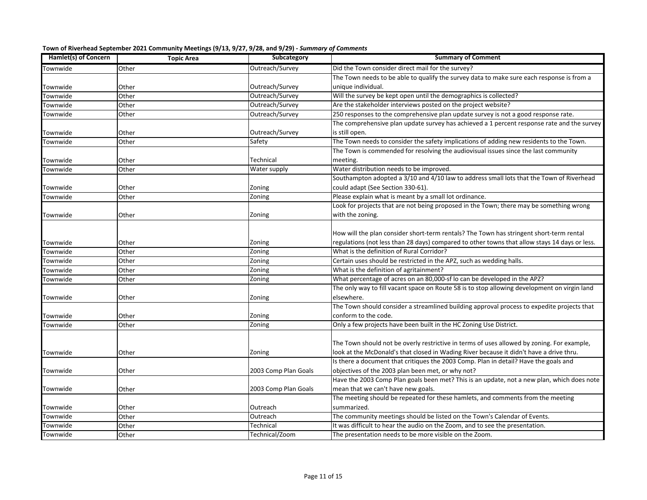| Town of Riverhead September 2021 Community Meetings (9/13, 9/27, 9/28, and 9/29) - Summary of Comments |  |  |  |  |
|--------------------------------------------------------------------------------------------------------|--|--|--|--|
|                                                                                                        |  |  |  |  |

| Hamlet(s) of Concern | <b>Topic Area</b> | Subcategory          | <b>Summary of Comment</b>                                                                     |
|----------------------|-------------------|----------------------|-----------------------------------------------------------------------------------------------|
| <b>Townwide</b>      | Other             | Outreach/Survey      | Did the Town consider direct mail for the survey?                                             |
|                      |                   |                      | The Town needs to be able to qualify the survey data to make sure each response is from a     |
| <b>Townwide</b>      | Other             | Outreach/Survey      | unique individual.                                                                            |
| <b>Townwide</b>      | Other             | Outreach/Survey      | Will the survey be kept open until the demographics is collected?                             |
| <b>Townwide</b>      | Other             | Outreach/Survey      | Are the stakeholder interviews posted on the project website?                                 |
| <b>Townwide</b>      | Other             | Outreach/Survey      | 250 responses to the comprehensive plan update survey is not a good response rate.            |
|                      |                   |                      | The comprehensive plan update survey has achieved a 1 percent response rate and the survey    |
| Townwide             | Other             | Outreach/Survey      | is still open.                                                                                |
| Townwide             | Other             | Safety               | The Town needs to consider the safety implications of adding new residents to the Town.       |
|                      |                   |                      | The Town is commended for resolving the audiovisual issues since the last community           |
| <b>Townwide</b>      | Other             | Technical            | meeting.                                                                                      |
| Townwide             | Other             | Water supply         | Water distribution needs to be improved.                                                      |
|                      |                   |                      | Southampton adopted a 3/10 and 4/10 law to address small lots that the Town of Riverhead      |
| Townwide             | Other             | Zoning               | could adapt (See Section 330-61).                                                             |
| <b>Townwide</b>      | Other             | Zoning               | Please explain what is meant by a small lot ordinance.                                        |
|                      |                   |                      | Look for projects that are not being proposed in the Town; there may be something wrong       |
| Townwide             | Other             | Zoning               | with the zoning.                                                                              |
|                      |                   |                      |                                                                                               |
|                      |                   |                      | How will the plan consider short-term rentals? The Town has stringent short-term rental       |
| <b>Townwide</b>      | Other             | Zoning               | regulations (not less than 28 days) compared to other towns that allow stays 14 days or less. |
| <b>Townwide</b>      | Other             | Zoning               | What is the definition of Rural Corridor?                                                     |
| Townwide             | Other             | Zoning               | Certain uses should be restricted in the APZ, such as wedding halls.                          |
| <b>Townwide</b>      | Other             | Zoning               | What is the definition of agritainment?                                                       |
| <b>Townwide</b>      | Other             | Zoning               | What percentage of acres on an 80,000-sf lo can be developed in the APZ?                      |
|                      |                   |                      | The only way to fill vacant space on Route 58 is to stop allowing development on virgin land  |
| Townwide             | Other             | Zoning               | elsewhere.                                                                                    |
|                      |                   |                      | The Town should consider a streamlined building approval process to expedite projects that    |
| <b>Townwide</b>      | Other             | Zoning               | conform to the code.                                                                          |
| Townwide             | Other             | Zoning               | Only a few projects have been built in the HC Zoning Use District.                            |
|                      |                   |                      |                                                                                               |
|                      |                   |                      | The Town should not be overly restrictive in terms of uses allowed by zoning. For example,    |
| Townwide             | Other             | Zoning               | look at the McDonald's that closed in Wading River because it didn't have a drive thru.       |
|                      |                   |                      | Is there a document that critiques the 2003 Comp. Plan in detail? Have the goals and          |
| Townwide             | Other             | 2003 Comp Plan Goals | objectives of the 2003 plan been met, or why not?                                             |
|                      |                   |                      | Have the 2003 Comp Plan goals been met? This is an update, not a new plan, which does note    |
| Townwide             | Other             | 2003 Comp Plan Goals | mean that we can't have new goals.                                                            |
|                      |                   |                      | The meeting should be repeated for these hamlets, and comments from the meeting               |
| Townwide             | Other             | Outreach             | summarized.                                                                                   |
| <b>Townwide</b>      | Other             | Outreach             | The community meetings should be listed on the Town's Calendar of Events.                     |
| <b>Townwide</b>      | Other             | Technical            | It was difficult to hear the audio on the Zoom, and to see the presentation.                  |
| Townwide             | Other             | Technical/Zoom       | The presentation needs to be more visible on the Zoom.                                        |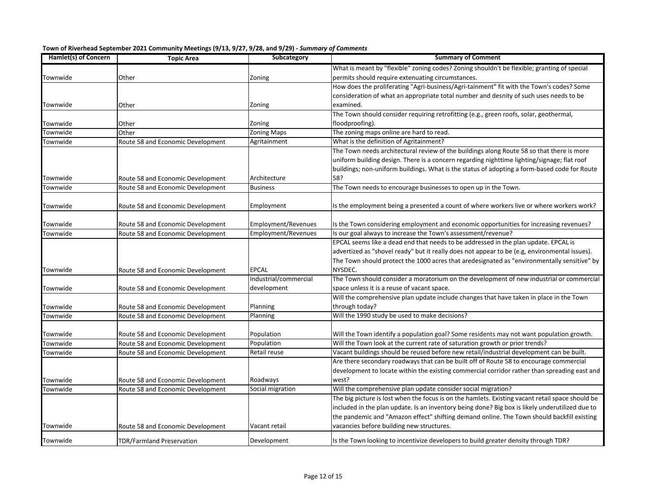| Hamlet(s) of Concern | <b>Topic Area</b>                                                      | Subcategory                | <b>Summary of Comment</b>                                                                                                                               |
|----------------------|------------------------------------------------------------------------|----------------------------|---------------------------------------------------------------------------------------------------------------------------------------------------------|
|                      |                                                                        |                            | What is meant by "flexible" zoning codes? Zoning shouldn't be flexible; granting of special                                                             |
| Townwide             | Other                                                                  | Zoning                     | permits should require extenuating circumstances.                                                                                                       |
|                      |                                                                        |                            | How does the proliferating "Agri-business/Agri-tainment" fit with the Town's codes? Some                                                                |
|                      |                                                                        |                            | consideration of what an appropriate total number and desnity of such uses needs to be                                                                  |
| Townwide             | Other                                                                  | Zoning                     | examined.                                                                                                                                               |
|                      |                                                                        |                            | The Town should consider requiring retrofitting (e.g., green roofs, solar, geothermal,                                                                  |
| Townwide             | Other                                                                  | Zoning                     | floodproofing).                                                                                                                                         |
| Townwide             | Other                                                                  | <b>Zoning Maps</b>         | The zoning maps online are hard to read.                                                                                                                |
| Townwide             | Route 58 and Economic Development                                      | Agritainment               | What is the definition of Agritainment?                                                                                                                 |
|                      |                                                                        |                            | The Town needs architectural review of the buildings along Route 58 so that there is more                                                               |
|                      |                                                                        |                            | uniform building design. There is a concern regarding nighttime lighting/signage; flat roof                                                             |
|                      |                                                                        |                            | buildings; non-uniform buildings. What is the status of adopting a form-based code for Route                                                            |
| Townwide             | Route 58 and Economic Development                                      | Architecture               | 58?                                                                                                                                                     |
| Townwide             | Route 58 and Economic Development                                      | <b>Business</b>            | The Town needs to encourage businesses to open up in the Town.                                                                                          |
|                      |                                                                        |                            |                                                                                                                                                         |
| Townwide             | Route 58 and Economic Development                                      | Employment                 | Is the employment being a presented a count of where workers live or where workers work?                                                                |
|                      |                                                                        | <b>Employment/Revenues</b> |                                                                                                                                                         |
| Townwide<br>Townwide | Route 58 and Economic Development<br>Route 58 and Economic Development | Employment/Revenues        | Is the Town considering employment and economic opportunities for increasing revenues?<br>Is our goal always to increase the Town's assessment/revenue? |
|                      |                                                                        |                            | EPCAL seems like a dead end that needs to be addressed in the plan update. EPCAL is                                                                     |
|                      |                                                                        |                            |                                                                                                                                                         |
|                      |                                                                        |                            | advertized as "shovel ready" but it really does not appear to be (e.g, environmental issues).                                                           |
|                      |                                                                        |                            | The Town should protect the 1000 acres that aredesignated as "environmentally sensitive" by                                                             |
| Townwide             | Route 58 and Economic Development                                      | <b>EPCAL</b>               | NYSDEC.                                                                                                                                                 |
|                      |                                                                        | Industrial/commercial      | The Town should consider a moratorium on the development of new industrial or commercial                                                                |
| Townwide             | Route 58 and Economic Development                                      | development                | space unless it is a reuse of vacant space.                                                                                                             |
|                      |                                                                        |                            | Will the comprehensive plan update include changes that have taken in place in the Town                                                                 |
| Townwide             | Route 58 and Economic Development                                      | Planning                   | through today?                                                                                                                                          |
| Townwide             | Route 58 and Economic Development                                      | Planning                   | Will the 1990 study be used to make decisions?                                                                                                          |
|                      |                                                                        |                            |                                                                                                                                                         |
| Townwide             | Route 58 and Economic Development                                      | Population                 | Will the Town identify a population goal? Some residents may not want population growth.                                                                |
| Townwide             | Route 58 and Economic Development                                      | Population                 | Will the Town look at the current rate of saturation growth or prior trends?                                                                            |
| Townwide             | Route 58 and Economic Development                                      | Retail reuse               | Vacant buildings should be reused before new retail/industrial development can be built.                                                                |
|                      |                                                                        |                            | Are there secondary roadways that can be built off of Route 58 to encourage commercial                                                                  |
|                      |                                                                        |                            | development to locate within the existing commercial corridor rather than spreading east and                                                            |
| Townwide             | Route 58 and Economic Development                                      | Roadways                   | west?                                                                                                                                                   |
| Townwide             | Route 58 and Economic Development                                      | Social migration           | Will the comprehensive plan update consider social migration?                                                                                           |
|                      |                                                                        |                            | The big picture is lost when the focus is on the hamlets. Existing vacant retail space should be                                                        |
|                      |                                                                        |                            | included in the plan update. Is an inventory being done? Big box is likely underutilized due to                                                         |
|                      |                                                                        |                            | the pandemic and "Amazon effect" shifting demand online. The Town should backfill existing                                                              |
| Townwide             | Route 58 and Economic Development                                      | Vacant retail              | vacancies before building new structures.                                                                                                               |
| Townwide             | <b>TDR/Farmland Preservation</b>                                       | Development                | Is the Town looking to incentivize developers to build greater density through TDR?                                                                     |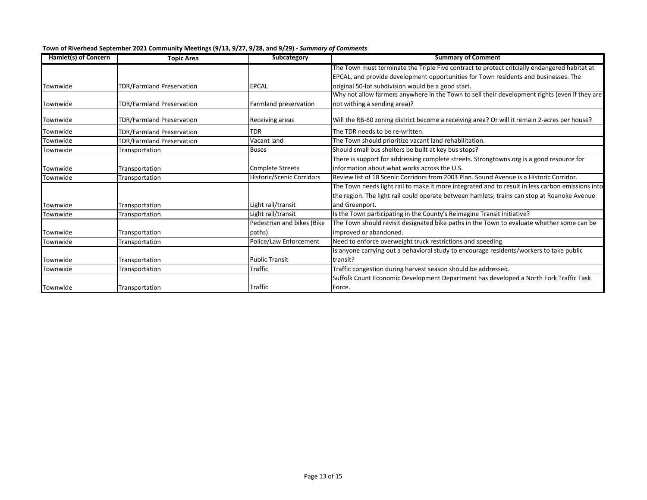| Hamlet(s) of Concern | <b>Topic Area</b>                | Subcategory                      | <b>Summary of Comment</b>                                                                        |
|----------------------|----------------------------------|----------------------------------|--------------------------------------------------------------------------------------------------|
|                      |                                  |                                  | The Town must terminate the Triple Five contract to protect critcially endangered habitat at     |
|                      |                                  |                                  | EPCAL, and provide development opportunities for Town residents and businesses. The              |
| Townwide             | TDR/Farmland Preservation        | <b>EPCAL</b>                     | original 50-lot subdivision would be a good start.                                               |
|                      |                                  |                                  | Why not allow farmers anywhere in the Town to sell their development rights (even if they are    |
| Townwide             | TDR/Farmland Preservation        | Farmland preservation            | not withing a sending area)?                                                                     |
| Townwide             | <b>TDR/Farmland Preservation</b> | Receiving areas                  | Will the RB-80 zoning district become a receiving area? Or will it remain 2-acres per house?     |
| Townwide             | TDR/Farmland Preservation        | <b>TDR</b>                       | The TDR needs to be re-written.                                                                  |
| Townwide             | TDR/Farmland Preservation        | Vacant land                      | The Town should prioritize vacant land rehabilitation.                                           |
| Townwide             | Transportation                   | <b>Buses</b>                     | Should small bus shelters be built at key bus stops?                                             |
|                      |                                  |                                  | There is support for addressing complete streets. Strongtowns.org is a good resource for         |
| Townwide             | Transportation                   | <b>Complete Streets</b>          | information about what works across the U.S.                                                     |
| Townwide             | Transportation                   | <b>Historic/Scenic Corridors</b> | Review list of 18 Scenic Corridors from 2003 Plan. Sound Avenue is a Historic Corridor.          |
|                      |                                  |                                  | The Town needs light rail to make it more integrated and to result in less carbon emissions into |
|                      |                                  |                                  | the region. The light rail could operate between hamlets; trains can stop at Roanoke Avenue      |
| Townwide             | Transportation                   | Light rail/transit               | and Greenport.                                                                                   |
| Townwide             | Transportation                   | Light rail/transit               | Is the Town participating in the County's Reimagine Transit initiative?                          |
|                      |                                  | Pedestrian and bikes (Bike       | The Town should revisit designated bike paths in the Town to evaluate whether some can be        |
| Townwide             | Transportation                   | paths)                           | improved or abandoned.                                                                           |
| Townwide             | Transportation                   | Police/Law Enforcement           | Need to enforce overweight truck restrictions and speeding                                       |
|                      |                                  |                                  | Is anyone carrying out a behavioral study to encourage residents/workers to take public          |
| Townwide             | Transportation                   | <b>Public Transit</b>            | transit?                                                                                         |
| Townwide             | Transportation                   | Traffic                          | Traffic congestion during harvest season should be addressed.                                    |
|                      |                                  |                                  | Suffolk Count Economic Development Department has developed a North Fork Traffic Task            |
| Townwide             | Transportation                   | <b>Traffic</b>                   | Force.                                                                                           |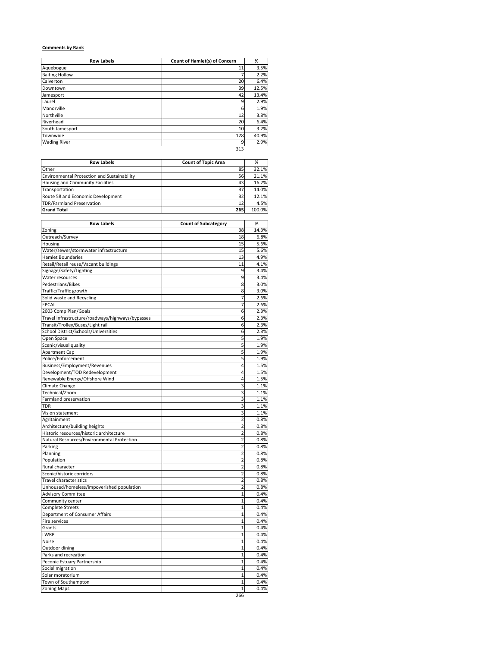# **Comments by Rank**

| <b>Row Labels</b>     | Count of Hamlet(s) of Concern | %     |
|-----------------------|-------------------------------|-------|
| Aquebogue             | 11                            | 3.5%  |
| <b>Baiting Hollow</b> |                               | 2.2%  |
| Calverton             | 20                            | 6.4%  |
| Downtown              | 39                            | 12.5% |
| Jamesport             | 42                            | 13.4% |
| Laurel                | 9                             | 2.9%  |
| Manorville            | 6                             | 1.9%  |
| Northville            | 12                            | 3.8%  |
| Riverhead             | 20                            | 6.4%  |
| South Jamesport       | 10                            | 3.2%  |
| Townwide              | 128                           | 40.9% |
| <b>Wading River</b>   | 9                             | 2.9%  |
|                       | 313                           |       |

| <b>Row Labels</b>                           | <b>Count of Topic Area</b> | %      |
|---------------------------------------------|----------------------------|--------|
| Other                                       | 85                         | 32.1%  |
| Environmental Protection and Sustainability | 56                         | 21.1%  |
| <b>Housing and Community Facilities</b>     | 43                         | 16.2%  |
| Transportation                              | 37                         | 14.0%  |
| Route 58 and Economic Development           | 32                         | 12.1%  |
| <b>TDR/Farmland Preservation</b>            | 12                         | 4.5%   |
| <b>Grand Total</b>                          | 265                        | 100.0% |

| <b>Row Labels</b>                                | <b>Count of Subcategory</b> | %     |
|--------------------------------------------------|-----------------------------|-------|
| Zoning                                           | 38                          | 14.3% |
| Outreach/Survey                                  | 18                          | 6.8%  |
| Housing                                          | 15                          | 5.6%  |
| Water/sewer/stormwater infrastructure            | 15                          | 5.6%  |
| <b>Hamlet Boundaries</b>                         | 13                          | 4.9%  |
| Retail/Retail reuse/Vacant buildings             | 11                          | 4.1%  |
| Signage/Safety/Lighting                          | 9                           | 3.4%  |
| Water resources                                  | 9                           | 3.4%  |
| Pedestrians/Bikes                                | 8                           | 3.0%  |
| Traffic/Traffic growth                           | 8                           | 3.0%  |
| Solid waste and Recycling                        | $\overline{7}$              | 2.6%  |
| <b>EPCAL</b>                                     | $\overline{7}$              | 2.6%  |
| 2003 Comp Plan/Goals                             | 6                           | 2.3%  |
| Travel Infrastructure/roadways/highways/bypasses | 6                           | 2.3%  |
| Transit/Trolley/Buses/Light rail                 | 6                           | 2.3%  |
| School District/Schools/Universities             | 6                           | 2.3%  |
| Open Space                                       | 5                           | 1.9%  |
| Scenic/visual quality                            | 5                           | 1.9%  |
| <b>Apartment Cap</b>                             | 5                           | 1.9%  |
| Police/Enforcement                               | 5                           | 1.9%  |
| Business/Employment/Revenues                     | 4                           | 1.5%  |
| Development/TOD Redevelopment                    | 4                           | 1.5%  |
| Renewable Energy/Offshore Wind                   | 4                           | 1.5%  |
| Climate Change                                   | 3                           | 1.1%  |
| Technical/Zoom                                   | 3                           | 1.1%  |
| Farmland preservation                            | 3                           | 1.1%  |
| <b>TDR</b>                                       | 3                           | 1.1%  |
| Vision statement                                 | 3                           | 1.1%  |
| Agritainment                                     | $\overline{2}$              | 0.8%  |
| Architecture/building heights                    | $\overline{2}$              | 0.8%  |
| Historic resources/historic architecture         | $\overline{2}$              | 0.8%  |
| Natural Resources/Environmental Protection       | $\overline{2}$              | 0.8%  |
| Parking                                          | $\overline{2}$              | 0.8%  |
| Planning                                         | $\overline{\mathbf{c}}$     | 0.8%  |
| Population                                       | $\overline{2}$              | 0.8%  |
| Rural character                                  | $\overline{2}$              | 0.8%  |
| Scenic/historic corridors                        | $\overline{\mathbf{c}}$     | 0.8%  |
| <b>Travel characteristics</b>                    | $\overline{2}$              | 0.8%  |
| Unhoused/homeless/impoverished population        | $\overline{2}$              | 0.8%  |
| <b>Advisory Committee</b>                        | $\overline{1}$              | 0.4%  |
| Community center                                 | $\mathbf{1}$                | 0.4%  |
| <b>Complete Streets</b>                          | $\overline{1}$              | 0.4%  |
| Department of Consumer Affairs                   | $\mathbf{1}$                | 0.4%  |
| Fire services                                    | $\mathbf 1$                 | 0.4%  |
| Grants                                           | $\mathbf{1}$                | 0.4%  |
| <b>LWRP</b>                                      | $\mathbf{1}$                | 0.4%  |
| Noise                                            | $\mathbf{1}$                | 0.4%  |
| Outdoor dining                                   | 1                           | 0.4%  |
| Parks and recreation                             | $\mathbf{1}$                | 0.4%  |
| Peconic Estuary Partnership                      | $\overline{1}$              | 0.4%  |
| Social migration                                 | $\mathbf 1$                 | 0.4%  |
| Solar moratorium                                 | 1                           | 0.4%  |
| Town of Southampton                              | $\overline{1}$              | 0.4%  |
| <b>Zoning Maps</b>                               | $\mathbf{1}$                | 0.4%  |